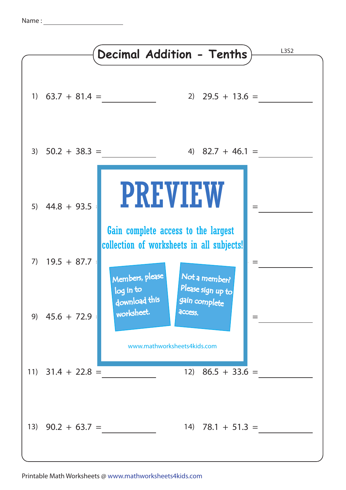